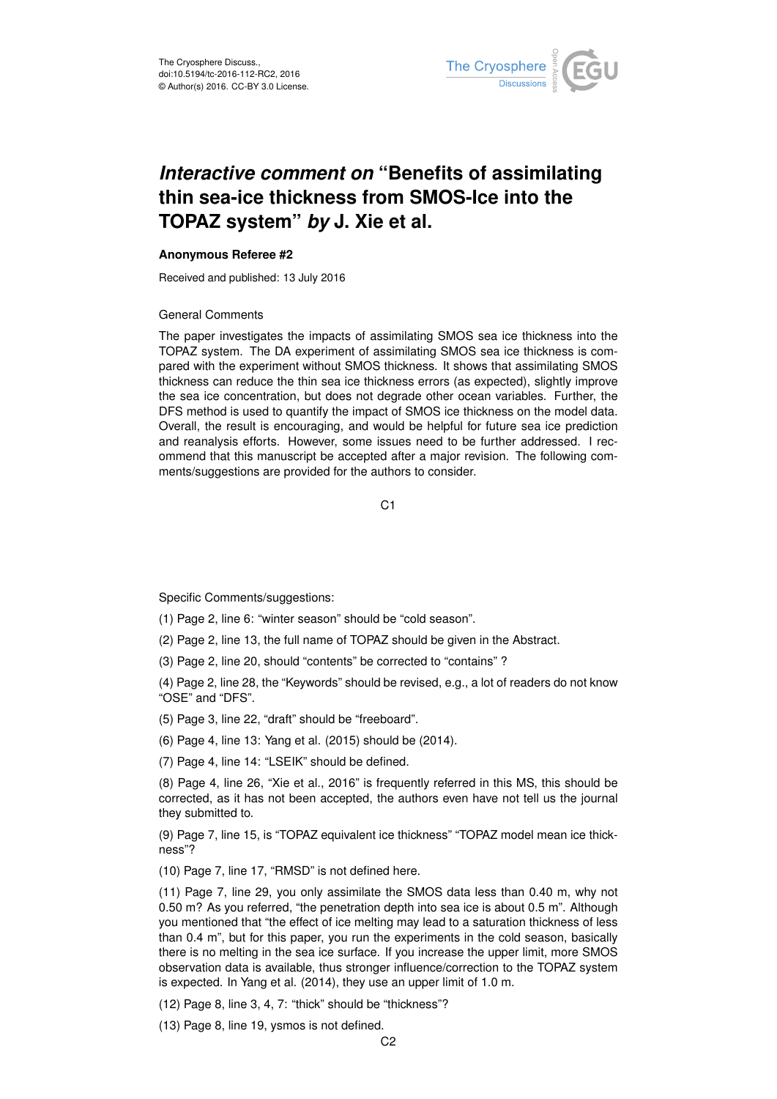

## *Interactive comment on* **"Benefits of assimilating thin sea-ice thickness from SMOS-Ice into the TOPAZ system"** *by* **J. Xie et al.**

## **Anonymous Referee #2**

Received and published: 13 July 2016

## General Comments

The paper investigates the impacts of assimilating SMOS sea ice thickness into the TOPAZ system. The DA experiment of assimilating SMOS sea ice thickness is compared with the experiment without SMOS thickness. It shows that assimilating SMOS thickness can reduce the thin sea ice thickness errors (as expected), slightly improve the sea ice concentration, but does not degrade other ocean variables. Further, the DFS method is used to quantify the impact of SMOS ice thickness on the model data. Overall, the result is encouraging, and would be helpful for future sea ice prediction and reanalysis efforts. However, some issues need to be further addressed. I recommend that this manuscript be accepted after a major revision. The following comments/suggestions are provided for the authors to consider.

C<sub>1</sub>

Specific Comments/suggestions:

(1) Page 2, line 6: "winter season" should be "cold season".

(2) Page 2, line 13, the full name of TOPAZ should be given in the Abstract.

(3) Page 2, line 20, should "contents" be corrected to "contains" ?

(4) Page 2, line 28, the "Keywords" should be revised, e.g., a lot of readers do not know "OSE" and "DFS".

(5) Page 3, line 22, "draft" should be "freeboard".

(6) Page 4, line 13: Yang et al. (2015) should be (2014).

(7) Page 4, line 14: "LSEIK" should be defined.

(8) Page 4, line 26, "Xie et al., 2016" is frequently referred in this MS, this should be corrected, as it has not been accepted, the authors even have not tell us the journal they submitted to.

(9) Page 7, line 15, is "TOPAZ equivalent ice thickness" "TOPAZ model mean ice thickness"?

(10) Page 7, line 17, "RMSD" is not defined here.

(11) Page 7, line 29, you only assimilate the SMOS data less than 0.40 m, why not 0.50 m? As you referred, "the penetration depth into sea ice is about 0.5 m". Although you mentioned that "the effect of ice melting may lead to a saturation thickness of less than 0.4 m", but for this paper, you run the experiments in the cold season, basically there is no melting in the sea ice surface. If you increase the upper limit, more SMOS observation data is available, thus stronger influence/correction to the TOPAZ system is expected. In Yang et al. (2014), they use an upper limit of 1.0 m.

(12) Page 8, line 3, 4, 7: "thick" should be "thickness"?

(13) Page 8, line 19, ysmos is not defined.